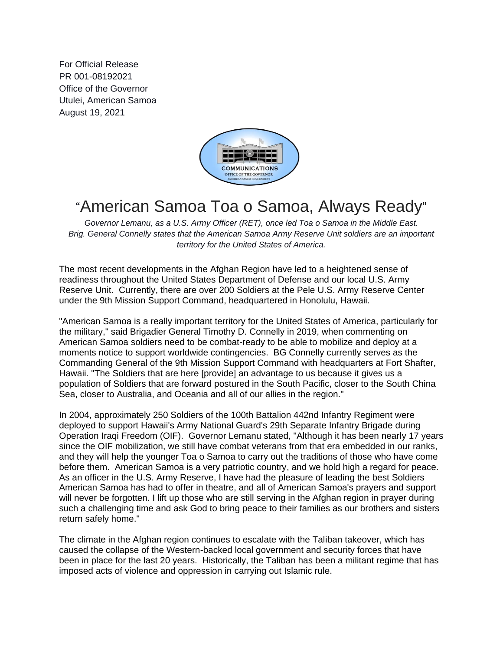For Official Release PR 001-08192021 Office of the Governor Utulei, American Samoa August 19, 2021



## "American Samoa Toa o Samoa, Always Ready"

*Governor Lemanu, as a U.S. Army Officer (RET), once led Toa o Samoa in the Middle East. Brig. General Connelly states that the American Samoa Army Reserve Unit soldiers are an important territory for the United States of America.*

The most recent developments in the Afghan Region have led to a heightened sense of readiness throughout the United States Department of Defense and our local U.S. Army Reserve Unit. Currently, there are over 200 Soldiers at the Pele U.S. Army Reserve Center under the 9th Mission Support Command, headquartered in Honolulu, Hawaii.

"American Samoa is a really important territory for the United States of America, particularly for the military," said Brigadier General Timothy D. Connelly in 2019, when commenting on American Samoa soldiers need to be combat-ready to be able to mobilize and deploy at a moments notice to support worldwide contingencies. BG Connelly currently serves as the Commanding General of the 9th Mission Support Command with headquarters at Fort Shafter, Hawaii. "The Soldiers that are here [provide] an advantage to us because it gives us a population of Soldiers that are forward postured in the South Pacific, closer to the South China Sea, closer to Australia, and Oceania and all of our allies in the region."

In 2004, approximately 250 Soldiers of the 100th Battalion 442nd Infantry Regiment were deployed to support Hawaii's Army National Guard's 29th Separate Infantry Brigade during Operation Iraqi Freedom (OIF). Governor Lemanu stated, "Although it has been nearly 17 years since the OIF mobilization, we still have combat veterans from that era embedded in our ranks, and they will help the younger Toa o Samoa to carry out the traditions of those who have come before them. American Samoa is a very patriotic country, and we hold high a regard for peace. As an officer in the U.S. Army Reserve, I have had the pleasure of leading the best Soldiers American Samoa has had to offer in theatre, and all of American Samoa's prayers and support will never be forgotten. I lift up those who are still serving in the Afghan region in prayer during such a challenging time and ask God to bring peace to their families as our brothers and sisters return safely home."

The climate in the Afghan region continues to escalate with the Taliban takeover, which has caused the collapse of the Western-backed local government and security forces that have been in place for the last 20 years. Historically, the Taliban has been a militant regime that has imposed acts of violence and oppression in carrying out Islamic rule.